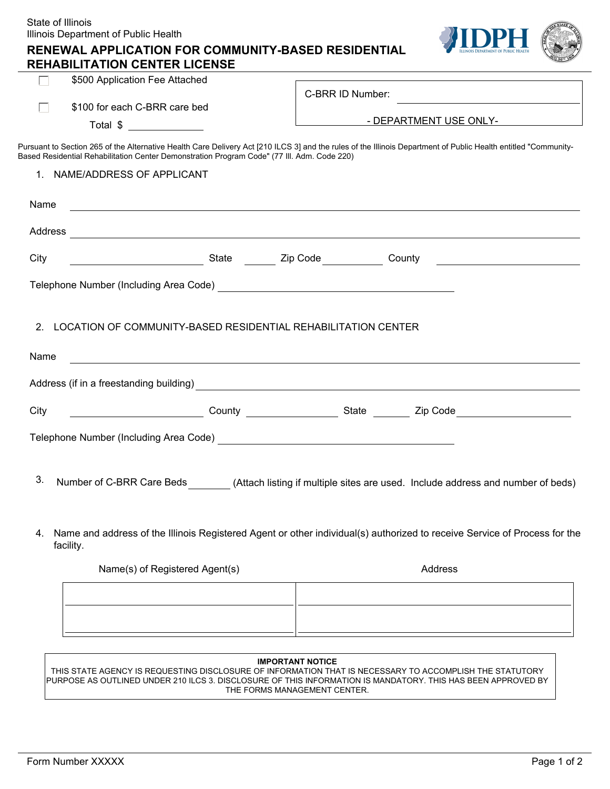| State of Illinois<br>Illinois Department of Public Health                                                                      |                                                                                                                                                                                                                                      |
|--------------------------------------------------------------------------------------------------------------------------------|--------------------------------------------------------------------------------------------------------------------------------------------------------------------------------------------------------------------------------------|
| <b>RENEWAL APPLICATION FOR COMMUNITY-BASED RESIDENTIAL</b><br><b>REHABILITATION CENTER LICENSE</b>                             |                                                                                                                                                                                                                                      |
| \$500 Application Fee Attached<br>$\mathbf{L}$                                                                                 |                                                                                                                                                                                                                                      |
|                                                                                                                                | C-BRR ID Number:<br>the control of the control of the control of the control of the control of the control of                                                                                                                        |
| \$100 for each C-BRR care bed                                                                                                  | <b>EXECUTE DEPARTMENT USE ONLY-</b>                                                                                                                                                                                                  |
| Total \$                                                                                                                       |                                                                                                                                                                                                                                      |
| Based Residential Rehabilitation Center Demonstration Program Code" (77 III. Adm. Code 220)                                    | Pursuant to Section 265 of the Alternative Health Care Delivery Act [210 ILCS 3] and the rules of the Illinois Department of Public Health entitled "Community-                                                                      |
| 1. NAME/ADDRESS OF APPLICANT                                                                                                   |                                                                                                                                                                                                                                      |
|                                                                                                                                |                                                                                                                                                                                                                                      |
| Name<br><u> 1989 - Johann Stoff, deutscher Stoffen und der Stoffen und der Stoffen und der Stoffen und der Stoffen und der</u> |                                                                                                                                                                                                                                      |
|                                                                                                                                | Address <b>contract and the contract of the contract of the contract of the contract of the contract of the contract of the contract of the contract of the contract of the contract of the contract of the contract of the cont</b> |
| City                                                                                                                           | and County and County and County and County and County and County and County and County and County and County and County and County and County and County and County and County and County and County and County and County an       |
|                                                                                                                                |                                                                                                                                                                                                                                      |
| Telephone Number (Including Area Code) [19] The Context of the Context of the Context of the Context of the Co                 |                                                                                                                                                                                                                                      |
|                                                                                                                                |                                                                                                                                                                                                                                      |
| LOCATION OF COMMUNITY-BASED RESIDENTIAL REHABILITATION CENTER<br>2.                                                            |                                                                                                                                                                                                                                      |
| Name                                                                                                                           |                                                                                                                                                                                                                                      |
|                                                                                                                                |                                                                                                                                                                                                                                      |
|                                                                                                                                |                                                                                                                                                                                                                                      |
| City                                                                                                                           | County County State County State County State County State County State County State County State County State County State County State County State County State County State County State County State County State County        |
| Telephone Number (Including Area Code) Manuscript Contract of the Contract of the Contract of the Contract of                  |                                                                                                                                                                                                                                      |
|                                                                                                                                |                                                                                                                                                                                                                                      |
| 3.                                                                                                                             |                                                                                                                                                                                                                                      |
| Number of C-BRR Care Beds                                                                                                      | (Attach listing if multiple sites are used. Include address and number of beds)                                                                                                                                                      |
|                                                                                                                                |                                                                                                                                                                                                                                      |
| 4.                                                                                                                             | Name and address of the Illinois Registered Agent or other individual(s) authorized to receive Service of Process for the                                                                                                            |
| facility.                                                                                                                      |                                                                                                                                                                                                                                      |
| Name(s) of Registered Agent(s)                                                                                                 | Address                                                                                                                                                                                                                              |
|                                                                                                                                |                                                                                                                                                                                                                                      |
|                                                                                                                                |                                                                                                                                                                                                                                      |
|                                                                                                                                |                                                                                                                                                                                                                                      |
|                                                                                                                                |                                                                                                                                                                                                                                      |
|                                                                                                                                | <b>IMPORTANT NOTICE</b><br>THIS STATE AGENCY IS REQUESTING DISCLOSURE OF INFORMATION THAT IS NECESSARY TO ACCOMPLISH THE STATUTORY                                                                                                   |
|                                                                                                                                | PURPOSE AS OUTLINED UNDER 210 ILCS 3. DISCLOSURE OF THIS INFORMATION IS MANDATORY. THIS HAS BEEN APPROVED BY<br>THE FORMS MANAGEMENT CENTER.                                                                                         |

 $\overline{\phantom{a}}$